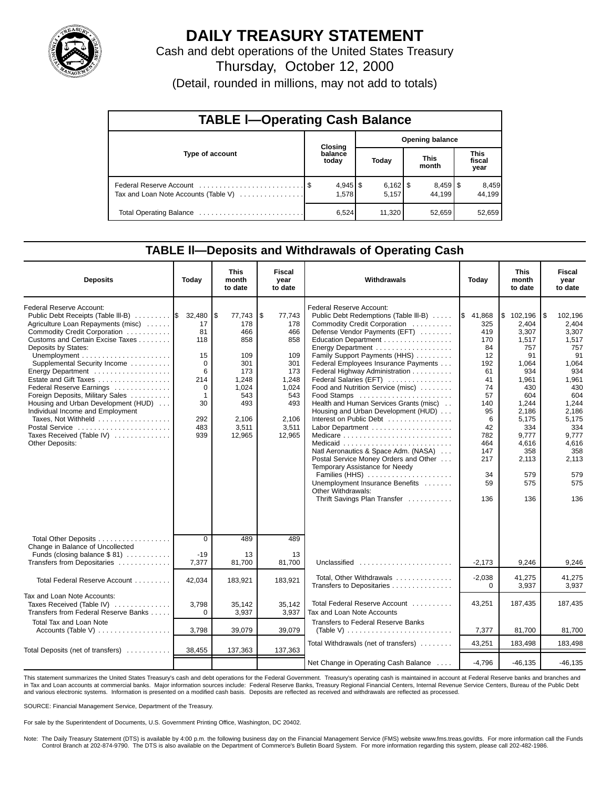

# **DAILY TREASURY STATEMENT**

Cash and debt operations of the United States Treasury

Thursday, October 12, 2000

(Detail, rounded in millions, may not add to totals)

| <b>TABLE I-Operating Cash Balance</b> |  |                     |  |                        |  |                        |  |                               |  |  |
|---------------------------------------|--|---------------------|--|------------------------|--|------------------------|--|-------------------------------|--|--|
|                                       |  | Closing             |  | <b>Opening balance</b> |  |                        |  |                               |  |  |
| Type of account                       |  | balance<br>today    |  | Today                  |  | <b>This</b><br>month   |  | <b>This</b><br>fiscal<br>year |  |  |
| Tax and Loan Note Accounts (Table V)  |  | $4,945$ \$<br>1,578 |  | $6,162$ \$<br>5,157    |  | $8,459$ \ \$<br>44.199 |  | 8,459<br>44.199               |  |  |
|                                       |  | 6,524               |  | 11,320                 |  | 52,659                 |  | 52,659                        |  |  |

### **TABLE ll—Deposits and Withdrawals of Operating Cash**

| <b>Deposits</b>                                                                                                                                                                                                                                                                                                                                                                                                                                                                                                          | Today                                                                                                  | <b>This</b><br>month<br>to date                                                                                    | Fiscal<br>year<br>to date                                                                                          | Withdrawals                                                                                                                                                                                                                                                                                                                                                                                                                                                                                                                                                                                                                                                                                                                     | Today                                                                                                                                                       | <b>This</b><br>month<br>to date                                                                                                                                                   | <b>Fiscal</b><br>vear<br>to date                                                                                                                                                       |
|--------------------------------------------------------------------------------------------------------------------------------------------------------------------------------------------------------------------------------------------------------------------------------------------------------------------------------------------------------------------------------------------------------------------------------------------------------------------------------------------------------------------------|--------------------------------------------------------------------------------------------------------|--------------------------------------------------------------------------------------------------------------------|--------------------------------------------------------------------------------------------------------------------|---------------------------------------------------------------------------------------------------------------------------------------------------------------------------------------------------------------------------------------------------------------------------------------------------------------------------------------------------------------------------------------------------------------------------------------------------------------------------------------------------------------------------------------------------------------------------------------------------------------------------------------------------------------------------------------------------------------------------------|-------------------------------------------------------------------------------------------------------------------------------------------------------------|-----------------------------------------------------------------------------------------------------------------------------------------------------------------------------------|----------------------------------------------------------------------------------------------------------------------------------------------------------------------------------------|
| Federal Reserve Account:<br>Public Debt Receipts (Table III-B)<br>Agriculture Loan Repayments (misc)<br>Commodity Credit Corporation<br>Customs and Certain Excise Taxes<br>Deposits by States:<br>Supplemental Security Income<br>Energy Department<br>Estate and Gift Taxes<br>Federal Reserve Earnings<br>Foreign Deposits, Military Sales<br>Housing and Urban Development (HUD)<br>Individual Income and Employment<br>Taxes, Not Withheld<br>Postal Service<br>Taxes Received (Table IV)<br><b>Other Deposits:</b> | 32,480<br>17<br>81<br>118<br>15<br>$\Omega$<br>6<br>214<br>0<br>$\mathbf 1$<br>30<br>292<br>483<br>939 | S.<br>77,743<br>178<br>466<br>858<br>109<br>301<br>173<br>1.248<br>1.024<br>543<br>493<br>2.106<br>3,511<br>12,965 | \$<br>77,743<br>178<br>466<br>858<br>109<br>301<br>173<br>1.248<br>1,024<br>543<br>493<br>2.106<br>3,511<br>12,965 | Federal Reserve Account:<br>Public Debt Redemptions (Table III-B)<br>Commodity Credit Corporation<br>Defense Vendor Payments (EFT)<br>Education Department<br>Energy Department<br>Family Support Payments (HHS)<br>Federal Employees Insurance Payments<br>Federal Highway Administration<br>Federal Salaries (EFT)<br>Food and Nutrition Service (misc)<br>Food Stamps<br>Health and Human Services Grants (misc)<br>Housing and Urban Development (HUD)<br>Interest on Public Debt<br>Medicare<br>Natl Aeronautics & Space Adm. (NASA)<br>Postal Service Money Orders and Other<br>Temporary Assistance for Needy<br>Families (HHS)<br>Unemployment Insurance Benefits<br>Other Withdrawals:<br>Thrift Savings Plan Transfer | $\frac{1}{3}$ 41,868<br>325<br>419<br>170<br>84<br>12<br>192<br>61<br>41<br>74<br>57<br>140<br>95<br>6<br>42<br>782<br>464<br>147<br>217<br>34<br>59<br>136 | \$102,196<br>2,404<br>3,307<br>1,517<br>757<br>91<br>1,064<br>934<br>1.961<br>430<br>604<br>1,244<br>2,186<br>5,175<br>334<br>9.777<br>4,616<br>358<br>2,113<br>579<br>575<br>136 | 1\$<br>102,196<br>2,404<br>3,307<br>1,517<br>757<br>91<br>1,064<br>934<br>1.961<br>430<br>604<br>1,244<br>2,186<br>5,175<br>334<br>9.777<br>4,616<br>358<br>2,113<br>579<br>575<br>136 |
| Total Other Deposits<br>Change in Balance of Uncollected<br>Funds (closing balance $$ 81)$                                                                                                                                                                                                                                                                                                                                                                                                                               | $\overline{0}$<br>$-19$                                                                                | 489<br>13                                                                                                          | 489<br>13                                                                                                          |                                                                                                                                                                                                                                                                                                                                                                                                                                                                                                                                                                                                                                                                                                                                 |                                                                                                                                                             |                                                                                                                                                                                   |                                                                                                                                                                                        |
| Transfers from Depositaries                                                                                                                                                                                                                                                                                                                                                                                                                                                                                              | 7,377                                                                                                  | 81,700                                                                                                             | 81,700                                                                                                             | Unclassified                                                                                                                                                                                                                                                                                                                                                                                                                                                                                                                                                                                                                                                                                                                    | $-2,173$                                                                                                                                                    | 9,246                                                                                                                                                                             | 9.246                                                                                                                                                                                  |
| Total Federal Reserve Account                                                                                                                                                                                                                                                                                                                                                                                                                                                                                            | 42,034                                                                                                 | 183,921                                                                                                            | 183,921                                                                                                            | Total, Other Withdrawals<br>Transfers to Depositaries                                                                                                                                                                                                                                                                                                                                                                                                                                                                                                                                                                                                                                                                           | $-2,038$<br>$\Omega$                                                                                                                                        | 41,275<br>3,937                                                                                                                                                                   | 41,275<br>3,937                                                                                                                                                                        |
| Tax and Loan Note Accounts:<br>Taxes Received (Table IV)<br>Transfers from Federal Reserve Banks                                                                                                                                                                                                                                                                                                                                                                                                                         | 3,798<br>$\Omega$                                                                                      | 35,142<br>3,937                                                                                                    | 35,142<br>3,937                                                                                                    | Total Federal Reserve Account<br>Tax and Loan Note Accounts                                                                                                                                                                                                                                                                                                                                                                                                                                                                                                                                                                                                                                                                     | 43,251                                                                                                                                                      | 187,435                                                                                                                                                                           | 187,435                                                                                                                                                                                |
| <b>Total Tax and Loan Note</b>                                                                                                                                                                                                                                                                                                                                                                                                                                                                                           | 3,798                                                                                                  | 39,079                                                                                                             | 39,079                                                                                                             | <b>Transfers to Federal Reserve Banks</b><br>(Table V) $\ldots \ldots \ldots \ldots \ldots \ldots \ldots \ldots \ldots$                                                                                                                                                                                                                                                                                                                                                                                                                                                                                                                                                                                                         | 7,377                                                                                                                                                       | 81,700                                                                                                                                                                            | 81,700                                                                                                                                                                                 |
|                                                                                                                                                                                                                                                                                                                                                                                                                                                                                                                          |                                                                                                        |                                                                                                                    |                                                                                                                    | Total Withdrawals (net of transfers)                                                                                                                                                                                                                                                                                                                                                                                                                                                                                                                                                                                                                                                                                            | 43,251                                                                                                                                                      | 183,498                                                                                                                                                                           | 183,498                                                                                                                                                                                |
| Total Deposits (net of transfers)                                                                                                                                                                                                                                                                                                                                                                                                                                                                                        | 38,455                                                                                                 | 137,363                                                                                                            | 137,363                                                                                                            |                                                                                                                                                                                                                                                                                                                                                                                                                                                                                                                                                                                                                                                                                                                                 |                                                                                                                                                             |                                                                                                                                                                                   |                                                                                                                                                                                        |
|                                                                                                                                                                                                                                                                                                                                                                                                                                                                                                                          |                                                                                                        |                                                                                                                    |                                                                                                                    | Net Change in Operating Cash Balance                                                                                                                                                                                                                                                                                                                                                                                                                                                                                                                                                                                                                                                                                            | $-4,796$                                                                                                                                                    | $-46, 135$                                                                                                                                                                        | $-46, 135$                                                                                                                                                                             |

This statement summarizes the United States Treasury's cash and debt operations for the Federal Government. Treasury's operating cash is maintained in account at Federal Reserve banks and branches and in Tax and Loan accounts at commercial banks. Major information sources include: Federal Reserve Banks, Treasury Regional Financial Centers, Internal Revenue Service Centers, Bureau of the Public Debt and various electronic systems. Information is presented on a modified cash basis. Deposits are reflected as received and withdrawals are reflected as processed.

SOURCE: Financial Management Service, Department of the Treasury.

For sale by the Superintendent of Documents, U.S. Government Printing Office, Washington, DC 20402.

Note: The Daily Treasury Statement (DTS) is available by 4:00 p.m. the following business day on the Financial Management Service (FMS) website www.fms.treas.gov/dts. For more information call the Funds Control Branch at 202-874-9790. The DTS is also available on the Department of Commerce's Bulletin Board System. For more information regarding this system, please call 202-482-1986.